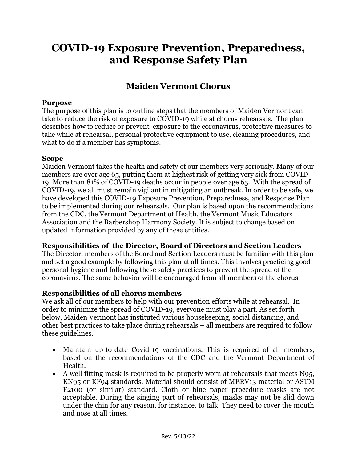# **COVID-19 Exposure Prevention, Preparedness, and Response Safety Plan**

## **Maiden Vermont Chorus**

#### **Purpose**

The purpose of this plan is to outline steps that the members of Maiden Vermont can take to reduce the risk of exposure to COVID-19 while at chorus rehearsals. The plan describes how to reduce or prevent exposure to the coronavirus, protective measures to take while at rehearsal, personal protective equipment to use, cleaning procedures, and what to do if a member has symptoms.

#### **Scope**

Maiden Vermont takes the health and safety of our members very seriously. Many of our members are over age 65, putting them at highest risk of getting very sick from COVID-19. More than 81% of COVID-19 deaths occur in people over age 65. With the spread of COVID-19, we all must remain vigilant in mitigating an outbreak. In order to be safe, we have developed this COVID-19 Exposure Prevention, Preparedness, and Response Plan to be implemented during our rehearsals. Our plan is based upon the recommendations from the CDC, the Vermont Department of Health, the Vermont Music Educators Association and the Barbershop Harmony Society. It is subject to change based on updated information provided by any of these entities.

#### **Responsibilities of the Director, Board of Directors and Section Leaders**

The Director, members of the Board and Section Leaders must be familiar with this plan and set a good example by following this plan at all times. This involves practicing good personal hygiene and following these safety practices to prevent the spread of the coronavirus. The same behavior will be encouraged from all members of the chorus.

### **Responsibilities of all chorus members**

We ask all of our members to help with our prevention efforts while at rehearsal. In order to minimize the spread of COVID-19, everyone must play a part. As set forth below, Maiden Vermont has instituted various housekeeping, social distancing, and other best practices to take place during rehearsals – all members are required to follow these guidelines.

- Maintain up-to-date Covid-19 vaccinations. This is required of all members, based on the recommendations of the CDC and the Vermont Department of Health.
- A well fitting mask is required to be properly worn at rehearsals that meets N95, KN95 or KF94 standards. Material should consist of MERV13 material or ASTM F2100 (or similar) standard. Cloth or blue paper procedure masks are not acceptable. During the singing part of rehearsals, masks may not be slid down under the chin for any reason, for instance, to talk. They need to cover the mouth and nose at all times.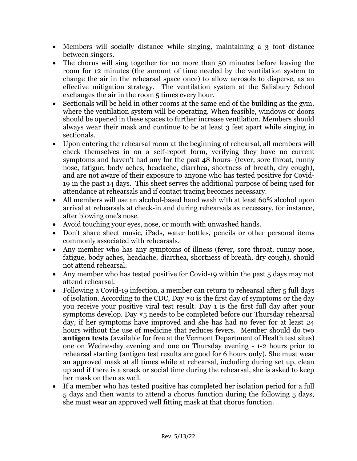- Members will socially distance while singing, maintaining a 3 foot distance between singers.
- The chorus will sing together for no more than 50 minutes before leaving the room for 12 minutes (the amount of time needed by the ventilation system to change the air in the rehearsal space once) to allow aerosols to disperse, as an effective mitigation strategy. The ventilation system at the Salisbury School exchanges the air in the room 5 times every hour.
- Sectionals will be held in other rooms at the same end of the building as the gym, where the ventilation system will be operating. When feasible, windows or doors should be opened in these spaces to further increase ventilation. Members should always wear their mask and continue to be at least 3 feet apart while singing in sectionals.
- Upon entering the rehearsal room at the beginning of rehearsal, all members will check themselves in on a self-report form, verifying they have no current symptoms and haven't had any for the past 48 hours- (fever, sore throat, runny nose, fatigue, body aches, headache, diarrhea, shortness of breath, dry cough), and are not aware of their exposure to anyone who has tested positive for Covid-19 in the past 14 days. This sheet serves the additional purpose of being used for attendance at rehearsals and if contact tracing becomes necessary.
- All members will use an alcohol-based hand wash with at least 60% alcohol upon arrival at rehearsals at check-in and during rehearsals as necessary, for instance, after blowing one's nose.
- Avoid touching your eyes, nose, or mouth with unwashed hands.
- Don't share sheet music, iPads, water bottles, pencils or other personal items commonly associated with rehearsals.
- Any member who has any symptoms of illness (fever, sore throat, runny nose, fatigue, body aches, headache, diarrhea, shortness of breath, dry cough), should not attend rehearsal.
- Any member who has tested positive for Covid-19 within the past 5 days may not attend rehearsal.
- Following a Covid-19 infection, a member can return to rehearsal after 5 full days of isolation. According to the CDC, Day #0 is the first day of symptoms or the day you receive your positive viral test result. Day 1 is the first full day after your symptoms develop. Day #5 needs to be completed before our Thursday rehearsal day, if her symptoms have improved and she has had no fever for at least 24 hours without the use of medicine that reduces fevers. Member should do two **antigen tests** (available for free at the Vermont Department of Health test sites) one on Wednesday evening and one on Thursday evening - 1-2 hours prior to rehearsal starting (antigen test results are good for 6 hours only). She must wear an approved mask at all times while at rehearsal, including during set up, clean up and if there is a snack or social time during the rehearsal, she is asked to keep her mask on then as well.
- If a member who has tested positive has completed her isolation period for a full 5 days and then wants to attend a chorus function during the following 5 days, she must wear an approved well fitting mask at that chorus function.